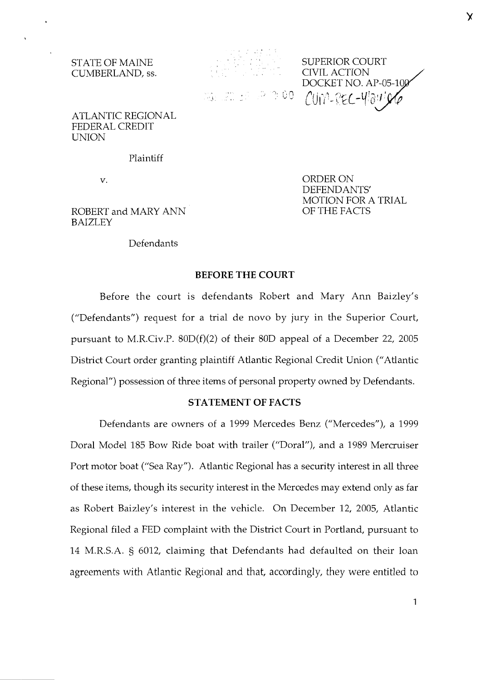

CUMBERLAND, ss. The CIVIL ACTION COMBERLAND, ss. The CIVIL ACTION COMBERLAND, ss. The CIVIL ACTION  $CUN-REC-W39$ 

> ORDER ON DEFENDANTS

> OF THE FACTS

MOTION FOR A TRIAL

ATLANTIC REGIONAL FEDERAL CREDIT **UNION** 

Plaintiff

v.

ROBERT and MARY ANN BAIZLEY

#### Defendants

## **BEFORE THE COURT**

Before the court is defendants Robert and Mary Ann Baizley's ("Defendants") request for a trial de novo by jury in the Superior Court, pursuant to M.R.Civ.P. 80D(f)(2) of their 80D appeal of a December 22, 2005 District Court order granting plaintiff Atlantic Regional Credit Union ("Atlantic Regional") possession of three items of personal property owned by Defendants.

## **STATEMENT OF FACTS**

Defendants are owners of a 1999 Mercedes Benz ("Mercedes"), a 1999 Doral Model 185 Bow Ride boat with trailer ("Doral"), and a 1989 Mercruiser Port motor boat ("Sea Ray"). Atlantic Regional has a security interest in all three of these items, though its security interest in the Mercedes may extend only as far as Robert Baizley's interest in the vehicle. On December 12, 2005, Atlantic Regional filed a FED complaint with the District Court in Portland, pursuant to 14 M.R.S.A. § 6012, claiming that Defendants had defaulted on their loan agreements with Atlantic Regional and that, accordingly, they were entitled to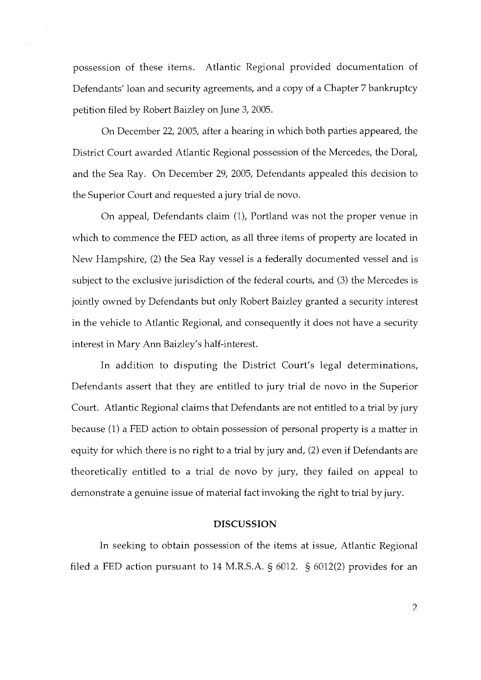possession of these items. Atlantic Regional provided documentation of Defendants' loan and security agreements, and a copy of a Chapter 7 bankruptcy petition filed by Robert Baizley on June 3,2005.

On December 22,2005, after a hearing in which both parties appeared, the District Court awarded Atlantic Regional possession of the Mercedes, the Doral, and the Sea Ray. On December 29, 2005, Defendants appealed this decision to the Superior Court and requested a jury trial de novo.

On appeal, Defendants claim (I), Portland was not the proper venue in which to commence the FED action, as all three items of property are located in New Hampshire, (2) the Sea Ray vessel is a federally documented vessel and is subject to the exclusive jurisdiction of the federal courts, and (3) the Mercedes is jointly owned by Defendants but only Robert Baizley granted a security interest in the vehicle to Atlantic Regional, and consequently it does not have a security interest in Mary Ann Baizley's half-interest.

In addition to disputing the District Court's legal determinations, Defendants assert that they are entitled to jury trial de novo in the Superior Court. Atlantic Regional claims that Defendants are not entitled to a trial by jury because (1) a FED action to obtain possession of personal property is a matter in equity for which there is no right to a trial by jury and, (2) even if Defendants are theoretically entitled to a trial de novo by jury, they failed on appeal to demonstrate a genuine issue of material fact invokng the right to trial by jury.

#### DISCUSSION

In seeking to obtain possession of the items at issue, Atlantic Regional filed a FED action pursuant to 14 M.R.S.A.  $\S$  6012.  $\S$  6012(2) provides for an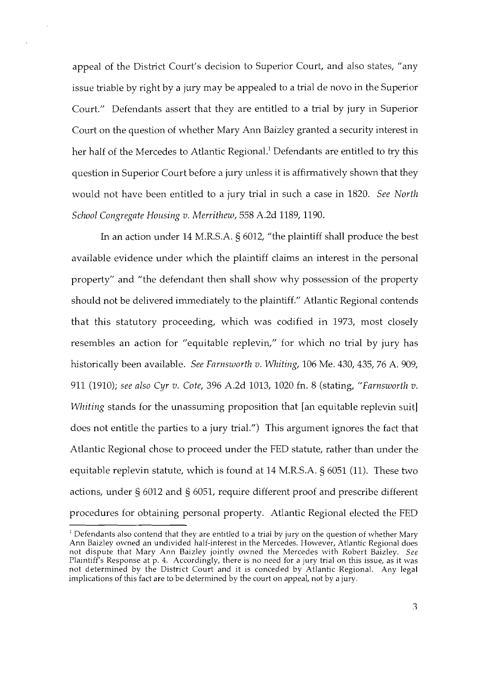appeal of the District Court's decision to Superior Court, and also states, "any issue triable by right by a jury may be appealed to a trial de novo in the Superior Court." Defendants assert that they are entitled to a trial by jury in Superior Court on the question of whether Mary Ann Baizley granted a security interest in her half of the Mercedes to Atlantic Regional.' Defendants are entitled to try this question in Superior Court before a jury unless it is affirmatively shown that they would not have been entitled to a jury trial in such a case in 1820. See North School Congregate Housing v. Merrithew, 558 A.2d 1189, 1190.

In an action under 14 M.R.S.A. § 6012, "the plaintiff shall produce the best available evidence under which the plaintiff claims an interest in the personal property" and "the defendant then shall show why possession of the property should not be delivered immediately to the plaintiff." Atlantic Regional contends that this statutory proceeding, which was codified in 1973, most closely resembles an action for "equitable replevin," for which no trial by jury has historically been available. See Farnsworth v. Whiting, 106 Me. 430, 435, 76 A. 909, 911 (1910); see also Cyr v. Cote, 396 A.2d 1013, 1020 fn. 8 (stating, "Farnsworth v. Whiting stands for the unassuming proposition that [an equitable replevin suit] does not entitle the parties to a jury trial.") This argument ignores the fact that Atlantic Regional chose to proceed under the FED statute, rather than under the equitable replevin statute, which is found at 14 M.R.S.A. § 6051 (11). These two actions, under § 6012 and § 6051, require different proof and prescribe different procedures for obtaining personal property. Atlantic Regional elected the FED

<sup>&</sup>lt;sup>1</sup> Defendants also contend that they are entitled to a trial by jury on the question of whether Mary Ann Baizley owned an undivided half-interest in the Mercedes. However, Atlantic Regional does not dispute that Mary Ann Baizley jointly owned the Mercedes with Robert Baizley. See Plaintiff's Response at p. 4. Accordingly, there is no need for a jury trial on this issue, as it was not determined by the District Court and it is conceded by Atlantic Regional. Any legal implications of this fact are to be determined by the court on appeal, not by a jury.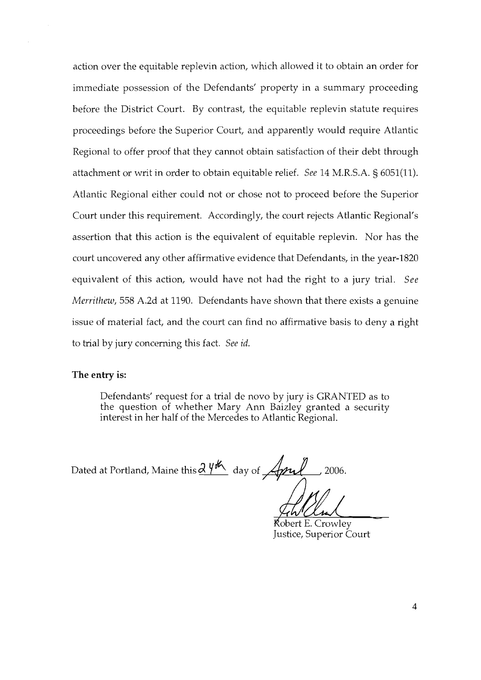action over the equitable replevin action, which allowed it to obtain an order for immediate possession of the Defendants' property in a summary proceeding before the District Court. By contrast, the equitable replevin statute requires proceedings before the Superior Court, and apparently would require Atlantic Regional to offer proof that they cannot obtain satisfaction of their debt through attachment or writ in order to obtain equitable relief. See 14 M.R.S.A. § 6051(11). Atlantic Regional either could not or chose not to proceed before the Superior Court under this requirement. Accordingly, the court rejects Atlantic Regional's assertion that this action is the equivalent of equitable replevin. Nor has the court uncovered any other affirmative evidence that Defendants, in the year-1820 equivalent of this action, would have not had the right to a jury trial. See Merrithew, 558 A.2d at 1190. Defendants have shown that there exists a genuine issue of material fact, and the court can find no affirmative basis to deny a right to trial by jury concerning this fact. See id.

#### **The entry is:**

Defendants' request for a trial de novo by jury is GRANTED as to the question of whether Mary Ann Baizley granted a security interest in her half of the Mercedes to Atlantic Regional.

Dated at Portland, Maine this  $\frac{\partial \psi^{\sharp}}{\partial \psi}$  day of  $\sqrt{\psi^2 + \psi^2}$ 2006.

Kobert E. Crowley Justice, Superior Court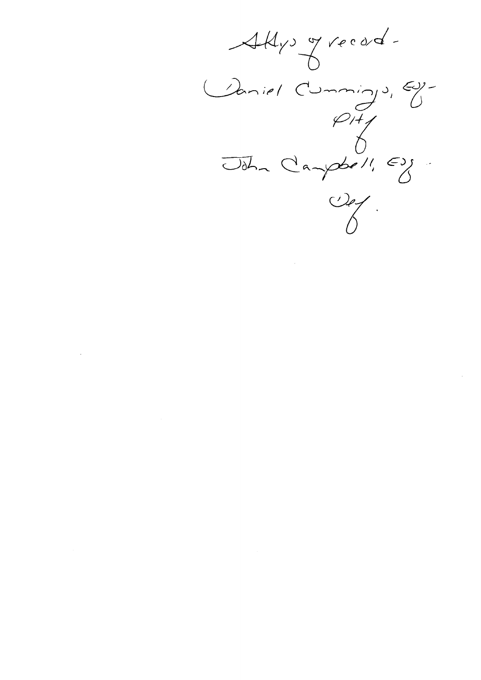$AH_{y}$ , grecod. Caniel Cummings, Ey-<br>Odhn Campbell, Ey- $\frac{1}{\sqrt{2}}$ 

 $\sim$ 

 $\label{eq:2.1} \frac{1}{\sqrt{2}}\int_{\mathbb{R}^3}\frac{1}{\sqrt{2}}\left(\frac{1}{\sqrt{2}}\right)^2\frac{1}{\sqrt{2}}\left(\frac{1}{\sqrt{2}}\right)^2\frac{1}{\sqrt{2}}\left(\frac{1}{\sqrt{2}}\right)^2\frac{1}{\sqrt{2}}\left(\frac{1}{\sqrt{2}}\right)^2.$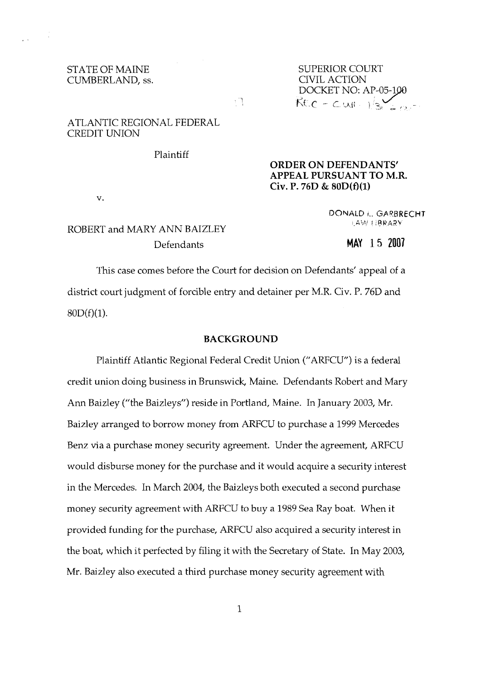#### STATE OF MAINE CUMBERLAND, ss.

SUPERIOR COURT CIVIL ACTION DOCKET NO: AP-05-1  $Rfc - Cw + \frac{1}{3}S_{2} + \frac{1}{2}S_{1}$ 

## ATLANTIC REGIONAL FEDERAL CREDIT UNION

Plaintiff

v.

## **ORDER ON DEFENDANTS' APPEAL PURSUANT TO M.R. Civ. P. 76D** & **80D(f)(l)**

DONALD **r..** GAQRRECHT <sup>j</sup>**d:,A'** : **!?PA?\** 

# ROBERT and MARY ANN BAIZLEY Defendants

## **MAY** 15 <sup>2007</sup>

This case comes before the Court for decision on Defendants' appeal of a district court judgment of forcible entry and detainer per M.R. Civ. P. 76D and  $80D(f)(1)$ .

ţη.

#### **BACKGROUND**

Plaintiff Atlantic Regional Federal Credit Union ("ARFCU") is a federal credit union doing business in Brunswick, Maine. Defendants Robert and Mary Ann Baizley ("the Baizleys") reside in Portland, Maine. In January 2003, Mr. Baizley arranged to borrow money from ARFCU to purchase a 1999 Mercedes Benz via a purchase money security agreement. Under the agreement, ARFCU would disburse money for the purchase and it would acquire a security interest in the Mercedes. In March 2004, the Baizleys both executed a second purchase money security agreement with ARFCU to buy a 1989 Sea Ray boat. When it provided funding for the purchase, ARFCU also acquired a security interest in the boat, which it perfected by filing it with the Secretary of State. In May 2003, Mr. Baizley also executed a third purchase money security agreement with

 $\mathbf{1}$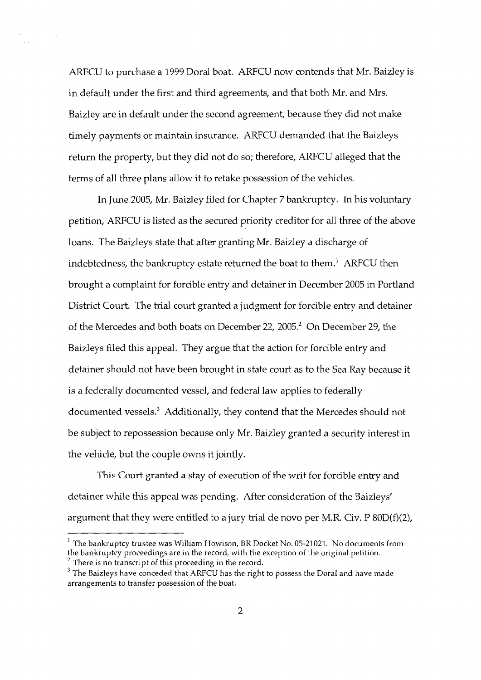ARFCU to purchase a 1999 Doral boat. ARFCU now contends that Mr. Baizley is in default under the first and third agreements, and that both Mr. and Mrs. Baizley are in default under the second agreement, because they did not make timely payments or maintain insurance. ARFCU demanded that the Baizleys return the property, but they did not do so; therefore, ARFCU alleged that the terms of all three plans allow it to retake possession of the vehicles.

In June 2005, Mr. Baizley filed for Chapter 7 bankruptcy. In his voluntary petition, ARFCU is listed as the secured priority creditor for all three of the above loans. The Baizleys state that after granting Mr. Baizley a discharge of indebtedness, the bankruptcy estate returned the boat to them.' ARFCU then brought a complaint for forcible entry and detainer in December 2005 in Portland District Court. The trial court granted a judgment for forcible entry and detainer of the Mercedes and both boats on December 22, 2005.<sup>2</sup> On December 29, the Baizleys filed this appeal. They argue that the action for forcible entry and detainer should not have been brought in state court as to the Sea Ray because it is a federally documented vessel, and federal law applies to federally documented vessels.<sup>3</sup> Additionally, they contend that the Mercedes should not be subject to repossession because only Mr. Baizley granted a security interest in the vehicle, but the couple owns it jointly.

This Court granted a stay of execution of the writ for forcible entry and detainer while this appeal was pending. After consideration of the Baizleys' argument that they were entitled to a jury trial de novo per M.R. Civ. P  $80D(f)(2)$ ,

 $1$  The bankruptcy trustee was William Howison, BR Docket No. 05-21021. No documents from the bankruptcy proceedings are in the record, with the exception of the original petition. <sup>2</sup> There is no transcript of this proceeding in the record.

 $3$  The Baizleys have conceded that ARFCU has the right to possess the Doral and have made arrangements to transfer possession of the boat.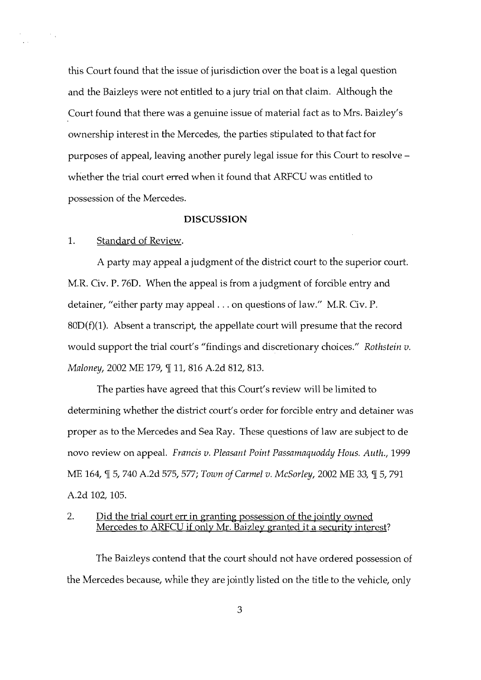this Court found that the issue of jurisdiction over the boat is a legal question and the Baizleys were not entitled to a jury trial on that claim. Although the Court found that there was a genuine issue of material fact as to Mrs. Baizley's ownership interest in the Mercedes, the parties stipulated to that fact for purposes of appeal, leaving another purely legal issue for this Court to resolve whether the trial court erred when it found that ARFCU was entitled to possession of the Mercedes.

#### **DISCUSSION**

#### 1. Standard of Review.

 $\sim$   $\sim$ 

A party may appeal a judgment of the district court to the superior court. M.R. Civ. P. 76D. When the appeal is from a judgment of forcible entry and detainer, "either party may appeal . . . on questions of law." M.R. Civ. P.  $80D(f)(1)$ . Absent a transcript, the appellate court will presume that the record would support the trial court's "findings and discretionary choices." Rothstein  $v$ . Maloney, 2002 ME 179, ¶ 11, 816 A.2d 812, 813.

The parties have agreed that this Court's review will be limited to determining whether the district court's order for forcible entry and detainer was proper as to the Mercedes and Sea Ray. These questions of law are subject to de novo review on appeal. Francis v. Pleasant Point Passamaquoddy Hous. Auth., 1999 ME 164,  $\mathbb{I}$  5, 740 A.2d 575, 577; Town of Carmel v. McSorley, 2002 ME 33,  $\mathbb{I}$  5, 791 A.2d 102, 105.

#### 2. Did the trial court err in granting possession of the jointly owned Mercedes to ARFCU if only Mr. Baizley granted it a securitv interest?

The Baizleys contend that the court should not have ordered possession of the Mercedes because, while they are jointly listed on the title to the vehicle, only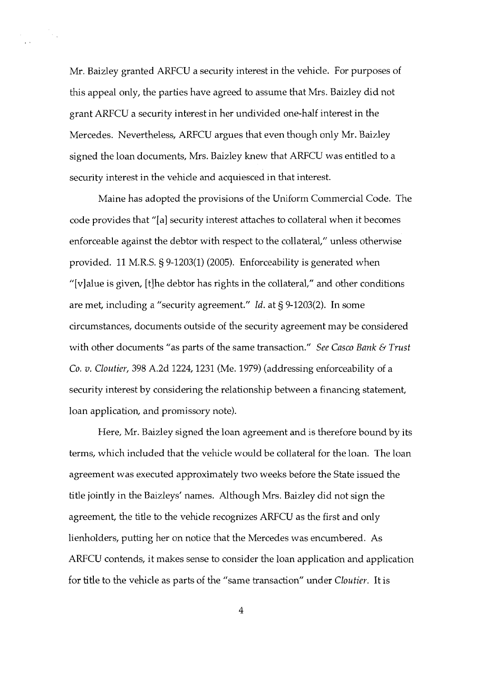Mr. Baizley granted ARFCU a security interest in the vehicle. For purposes of this appeal only, the parties have agreed to assume that Mrs. Baizley did not grant ARFCU a security interest in her undivided one-half interest in the Mercedes. Nevertheless, ARFCU argues that even though only Mr. Baizley signed the loan documents, Mrs. Baizley knew that ARFCU was entitled to a security interest in the vehicle and acquiesced in that interest.

 $\frac{1}{2}$ 

 $\sim$ 

Maine has adopted the provisions of the Uniform Commercial Code. The code provides that "[a] security interest attaches to collateral when it becomes enforceable against the debtor with respect to the collateral," unless otherwise provided. 11 M.R.S. 5 9-1203(1) (2005). Enforceability is generated when "[v] alue is given, [t] he debtor has rights in the collateral," and other conditions are met, including a "security agreement." Id. at § 9-1203(2). In some circumstances, documents outside of the security agreement may be considered with other documents "as parts of the same transaction." See Casco Bank & Trust Co. v. Cloutier, 398 A.2d 1224, 1231 (Me. 1979) (addressing enforceability of a security interest by considering the relationship between a financing statement, loan application, and promissory note).

Here, Mr. Baizley signed the loan agreement and is therefore bound by its terms, which included that the vehicle would be collateral for the loan. The loan agreement was executed approximately two weeks before the State issued the title jointly in the Baizleys' names. Although Mrs. Baizley did not sign the agreement, the title to the vehicle recognizes ARFCU as the first and only lienholders, putting her on notice that the Mercedes was encumbered. As ARFCU contends, it makes sense to consider the loan application and application for title to the vehicle as parts of the "same transaction" under Cloutier. It is

 $\overline{4}$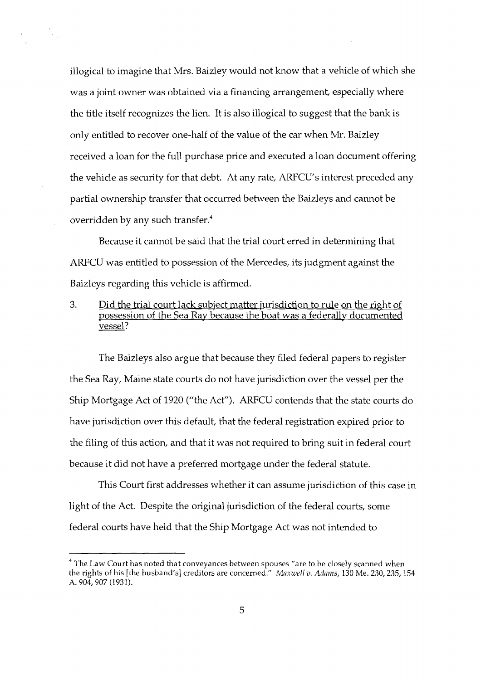illogical to imagine that Mrs. Baizley would not know that a vehicle of which she was a joint owner was obtained via a financing arrangement, especially where the title itself recognizes the lien. It is also illogical to suggest that the bank is only entitled to recover one-half of the value of the car when Mr. Baizley received a loan for the full purchase price and executed a loan document offering the vehicle as security for that debt. At any rate, ARFCU's interest preceded any partial ownership transfer that occurred between the Baizleys and cannot be overridden by any such transfer. $4$ 

Because it cannot be said that the trial court erred in determining that ARFCU was entitled to possession of the Mercedes, its judgment against the Baizleys regarding this vehicle is affirmed.

## **3.** Did the trial court lack subject matter iurisdiction to rule on the right of possession of the Sea Rav because the boat was a federallv documented vessel?

The Baizleys also argue that because they filed federal papers to register the Sea Ray, Maine state courts do not have jurisdiction over the vessel per the Ship Mortgage Act of 1920 ("the Act"). ARFCU contends that the state courts do have jurisdiction over this default, that the federal registration expired prior to the filing of this action, and that it was not required to bring suit in federal court because it did not have a preferred mortgage under the federal statute.

This Court first addresses whether it can assume jurisdiction of this case in light of the Act. Despite the original jurisdiction of the federal courts, some federal courts have held that the Ship Mortgage Act was not intended to

 $^4$  The Law Court has noted that conveyances between spouses "are to be closely scanned when the rights of his [the husband's] creditors are concerned." *Maxwell* v. *Adains,* 130 Me. 230,235,154 A. 904,907 (1931).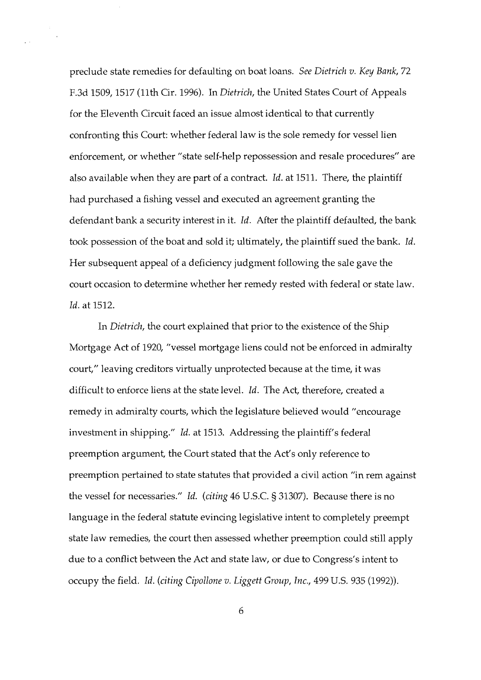preclude state remedies for defaulting on boat loans. See Dietrich v. Key Bank, 72 F.3d 1509, 1517 (11th Cir. 1996). In Dietrich, the United States Court of Appeals for the Eleventh Circuit faced an issue almost identical to that currently confronting this Court: whether federal law is the sole remedy for vessel lien enforcement, or whether "state self-help repossession and resale procedures" are also available when they are part of a contract. Id. at 1511. There, the plaintiff had purchased a fishing vessel and executed an agreement granting the defendant bank a security interest in it. Id. After the plaintiff defaulted, the bank took possession of the boat and sold it; ultimately, the plaintiff sued the bank. Id. Her subsequent appeal of a deficiency judgment following the sale gave the court occasion to determine whether her remedy rested with federal or state law. Id. at 1512.

 $\sim$   $\sim$ 

In Dietrich, the court explained that prior to the existence of the Ship Mortgage Act of 1920, "vessel mortgage liens could not be enforced in admiralty court," leaving creditors virtually unprotected because at the time, it was difficult to enforce liens at the state level. Id. The Act, therefore, created a remedy in admiralty courts, which the legislature believed would "encourage investment in shipping." Id. at 1513. Addressing the plaintiff's federal preemption argument, the Court stated that the Act's only reference to preemption pertained to state statutes that provided a civil action "in rem against the vessel for necessaries." Id. (citing 46 U.S.C. § 31307). Because there is no language in the federal statute evincing legislative intent to completely preempt state law remedies, the court then assessed whether preemption could still apply due to a conflict between the Act and state law, or due to Congress's intent to occupy the field. Id. (citing Cipollone v. Liggett Group, Inc., 499 U.S. 935 (1992)).

6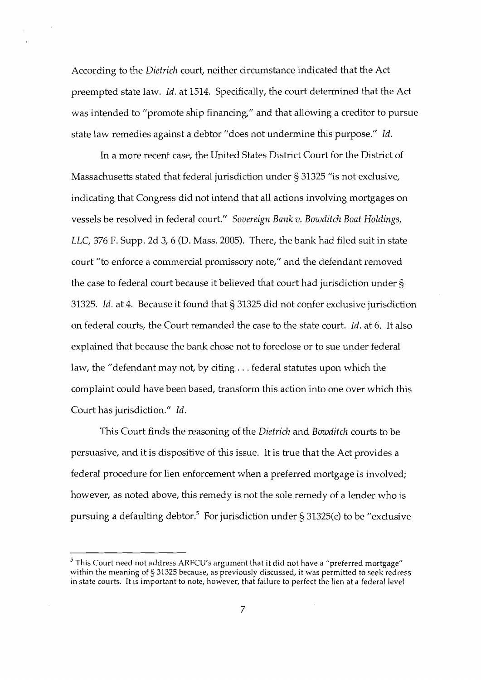According to the *Dietriclz* court, neither circumstance indicated that the Act preempted state law. *Id.* at 1514. Specifically, the court determined that the Act was intended to "promote ship financing," and that allowing a creditor to pursue state law remedies against a debtor "does not undermine this purpose." *Id.* 

In a more recent case, the United States District Court for the District of Massachusetts stated that federal jurisdiction under 5 31325 "is not exclusive, indicating that Congress did not intend that all actions involving mortgages on vessels be resolved in federal court." *Sovereign Bank* v. *Bowditch Boat Holdings, LLC,* 376 F. Supp. 2d 3, 6 (D. Mass. 2005). There, the bank had filed suit in state court "to enforce a commercial promissory note," and the defendant removed the case to federal court because it believed that court had jurisdiction under 5 31325. *Id.* at 4. Because it found that § 31325 did not confer exclusive jurisdiction on federal courts, the Court remanded the case to the state court. *Id.* at 6. It also explained that because the bank chose not to foreclose or to sue under federal law, the "defendant may not, by citing . . . federal statutes upon which the complaint could have been based, transform this action into one over which this Court has jurisdiction." *Id.* 

This Court finds the reasoning of the *Dietrich* and *Bowditch* courts to be persuasive, and it is dispositive of this issue. It is true that the Act provides a federal procedure for lien enforcement when a preferred mortgage is involved; however, as noted above, this remedy is not the sole remedy of a lender who is pursuing a defaulting debtor.<sup>5</sup> For jurisdiction under § 31325(c) to be "exclusive

 $^5$  This Court need not address ARFCU's argument that it did not have a "preferred mortgage" within the meaning of § 31325 because, as previously discussed, it was permitted to seek redress in state courts. It is important to note, however, that failure to perfect the lien at a federal level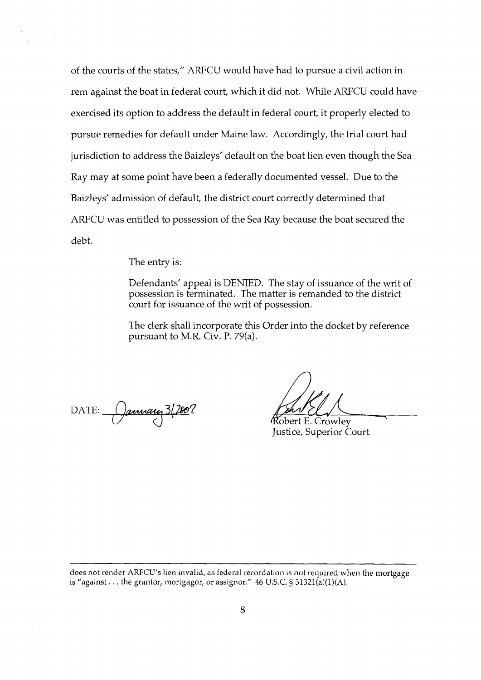of the courts of the states," ARFCU would have had to pursue a civil action in rem against the boat in federal court, which it did not. While ARFCU could have exercised its option to address the default in federal court, it properly elected to pursue remedies for default under Maine law. Accordingly, the trial court had jurisdiction to address the Baizleys' default on the boat lien even though the Sea Ray may at some point have been a federally documented vessel. Due to the Baizleys' admission of default, the district court correctly determined that ARFCU was entitled to possession of the Sea Ray because the boat secured the debt.

The entry is:

Defendants' appeal is DENIED. The stay of issuance of the writ of possession is terminated. The matter is remanded to the district court for issuance of the writ of possession.

The clerk shall incorporate this Order into the docket by reference pursuant to M.R. Civ. P. 79(a).

DATE: *January* 3/2007

Justice, Superior Court

does not render ARFCU's lien invalid, as federal recordation is not required when the mortgage is "against... the grantor, mortgagor, or assignor." 46 U.S.C.  $\frac{1}{5}$  31321(a)(1)(A).